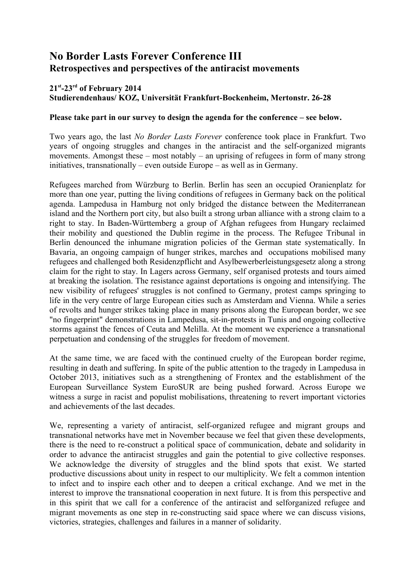# **No Border Lasts Forever Conference III Retrospectives and perspectives of the antiracist movements**

#### **21st-23rd of February 2014 Studierendenhaus/ KOZ, Universität Frankfurt-Bockenheim, Mertonstr. 26-28**

#### **Please take part in our survey to design the agenda for the conference – see below.**

Two years ago, the last *No Border Lasts Forever* conference took place in Frankfurt. Two years of ongoing struggles and changes in the antiracist and the self-organized migrants movements. Amongst these – most notably – an uprising of refugees in form of many strong initiatives, transnationally – even outside Europe – as well as in Germany.

Refugees marched from Würzburg to Berlin. Berlin has seen an occupied Oranienplatz for more than one year, putting the living conditions of refugees in Germany back on the political agenda. Lampedusa in Hamburg not only bridged the distance between the Mediterranean island and the Northern port city, but also built a strong urban alliance with a strong claim to a right to stay. In Baden-Württemberg a group of Afghan refugees from Hungary reclaimed their mobility and questioned the Dublin regime in the process. The Refugee Tribunal in Berlin denounced the inhumane migration policies of the German state systematically. In Bavaria, an ongoing campaign of hunger strikes, marches and occupations mobilised many refugees and challenged both Residenzpflicht and Asylbewerberleistungsgesetz along a strong claim for the right to stay. In Lagers across Germany, self organised protests and tours aimed at breaking the isolation. The resistance against deportations is ongoing and intensifying. The new visibility of refugees' struggles is not confined to Germany, protest camps springing to life in the very centre of large European cities such as Amsterdam and Vienna. While a series of revolts and hunger strikes taking place in many prisons along the European border, we see "no fingerprint" demonstrations in Lampedusa, sit-in-protests in Tunis and ongoing collective storms against the fences of Ceuta and Melilla. At the moment we experience a transnational perpetuation and condensing of the struggles for freedom of movement.

At the same time, we are faced with the continued cruelty of the European border regime, resulting in death and suffering. In spite of the public attention to the tragedy in Lampedusa in October 2013, initiatives such as a strengthening of Frontex and the establishment of the European Surveillance System EuroSUR are being pushed forward. Across Europe we witness a surge in racist and populist mobilisations, threatening to revert important victories and achievements of the last decades.

We, representing a variety of antiracist, self-organized refugee and migrant groups and transnational networks have met in November because we feel that given these developments, there is the need to re-construct a political space of communication, debate and solidarity in order to advance the antiracist struggles and gain the potential to give collective responses. We acknowledge the diversity of struggles and the blind spots that exist. We started productive discussions about unity in respect to our multiplicity. We felt a common intention to infect and to inspire each other and to deepen a critical exchange. And we met in the interest to improve the transnational cooperation in next future. It is from this perspective and in this spirit that we call for a conference of the antiracist and selforganized refugee and migrant movements as one step in re-constructing said space where we can discuss visions, victories, strategies, challenges and failures in a manner of solidarity.